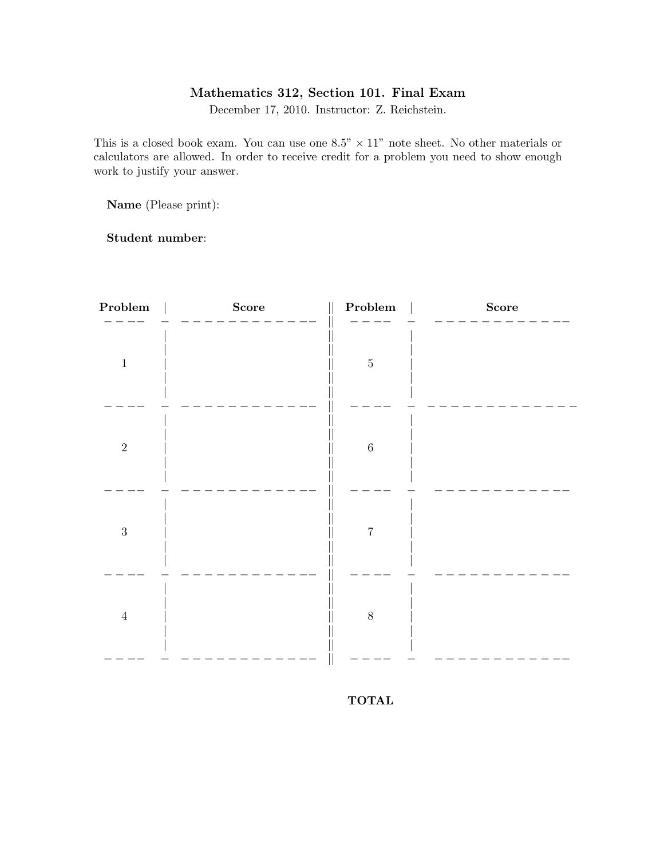## Mathematics 312, Section 101. Final Exam

December 17, 2010. Instructor: Z. Reichstein.

This is a closed book exam. You can use one  $8.5" \times 11"$  note sheet. No other materials or calculators are allowed. In order to receive credit for a problem you need to show enough work to justify your answer.

Name (Please print):

Student number:

| Problem    | $\label{eq:score} \textbf{Score}$ | ${\bf Problem}$ | $\label{eq:score} \textbf{Score}$ |
|------------|-----------------------------------|-----------------|-----------------------------------|
| $\,1\,$    |                                   | $\bf 5$         |                                   |
| $\sqrt{2}$ |                                   | $\,6\,$         |                                   |
| $\sqrt{3}$ |                                   | $\overline{7}$  |                                   |
| $\,4\,$    |                                   | $8\,$           |                                   |
|            |                                   |                 |                                   |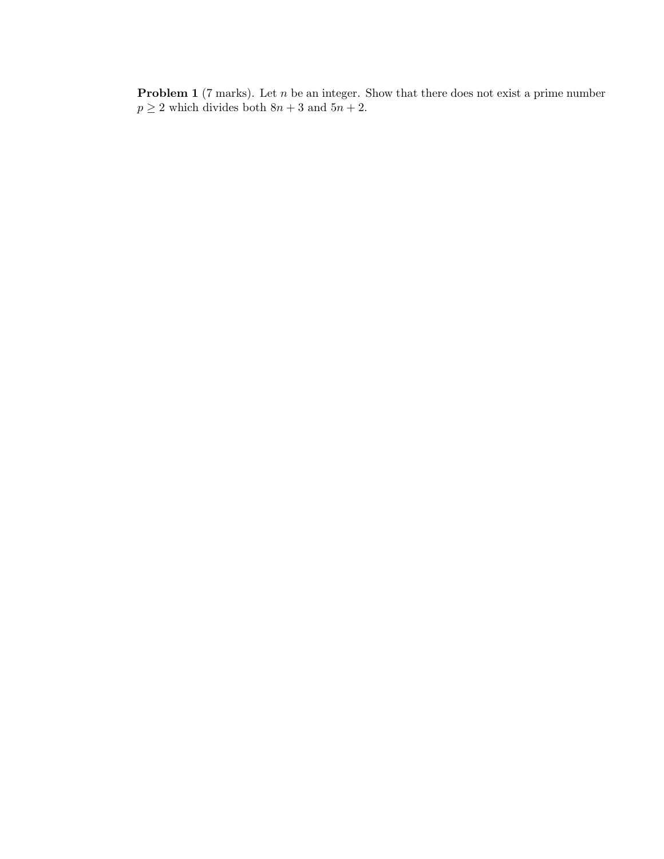**Problem 1** (7 marks). Let  $n$  be an integer. Show that there does not exist a prime number  $p \ge 2$  which divides both  $8n + 3$  and  $5n + 2$ .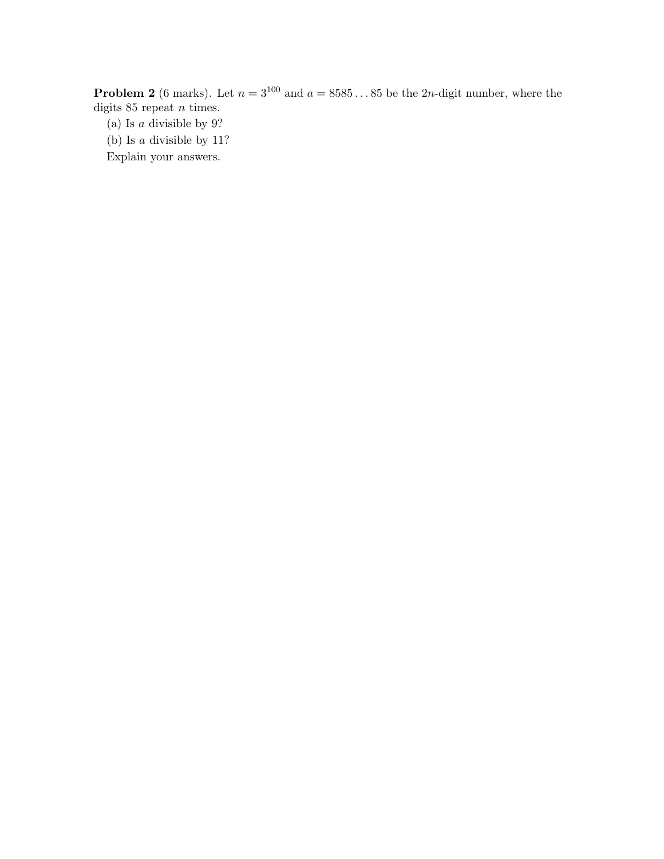**Problem 2** (6 marks). Let  $n = 3^{100}$  and  $a = 8585...85$  be the 2n-digit number, where the digits  $85$  repeat  $n$  times.

(a) Is a divisible by 9?

(b) Is a divisible by 11?

Explain your answers.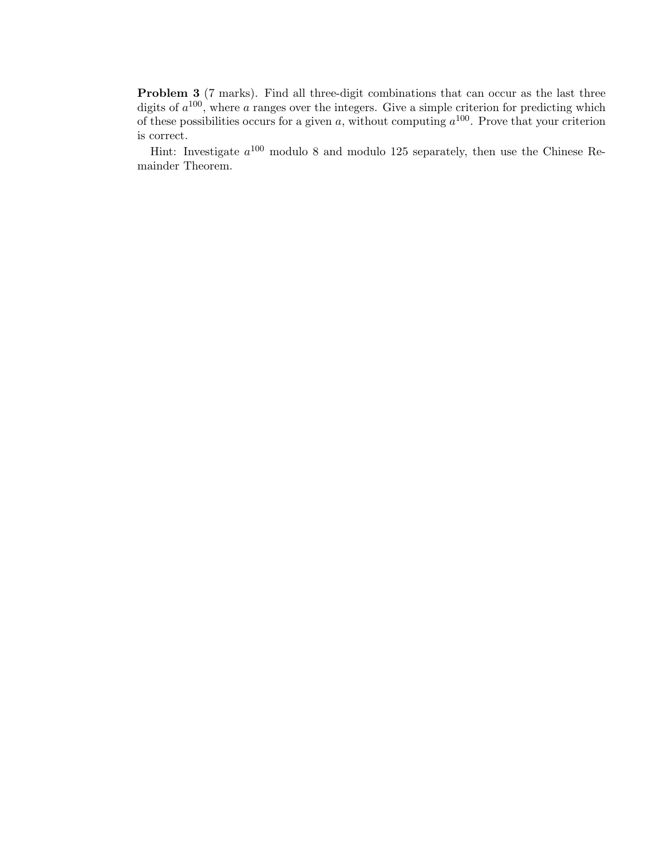**Problem 3** (7 marks). Find all three-digit combinations that can occur as the last three digits of  $a^{100}$ , where a ranges over the integers. Give a simple criterion for predicting which of these possibilities occurs for a given a, without computing  $a^{100}$ . Prove that your criterion is correct.

Hint: Investigate  $a^{100}$  modulo 8 and modulo 125 separately, then use the Chinese Remainder Theorem.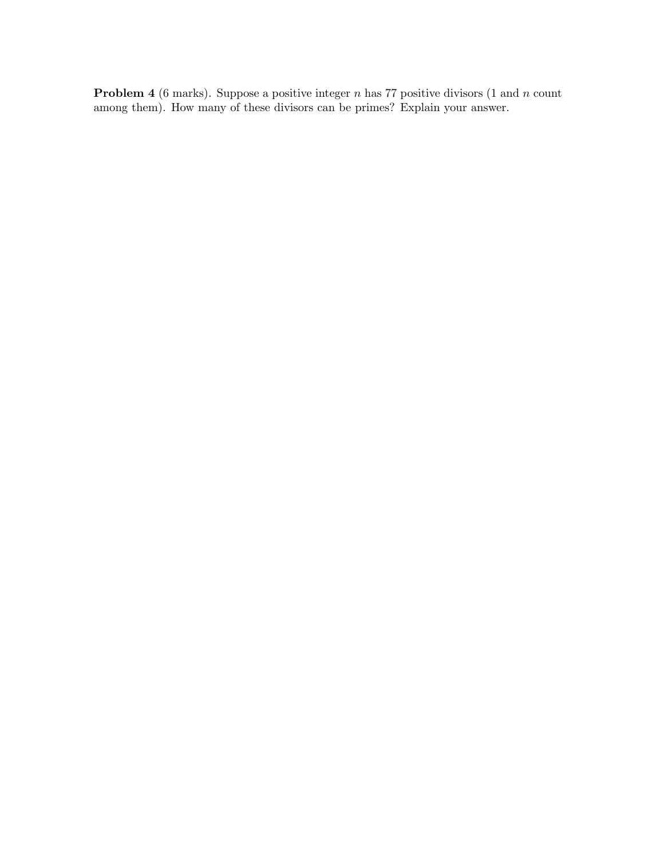**Problem 4** (6 marks). Suppose a positive integer  $n$  has 77 positive divisors (1 and  $n$  count among them). How many of these divisors can be primes? Explain your answer.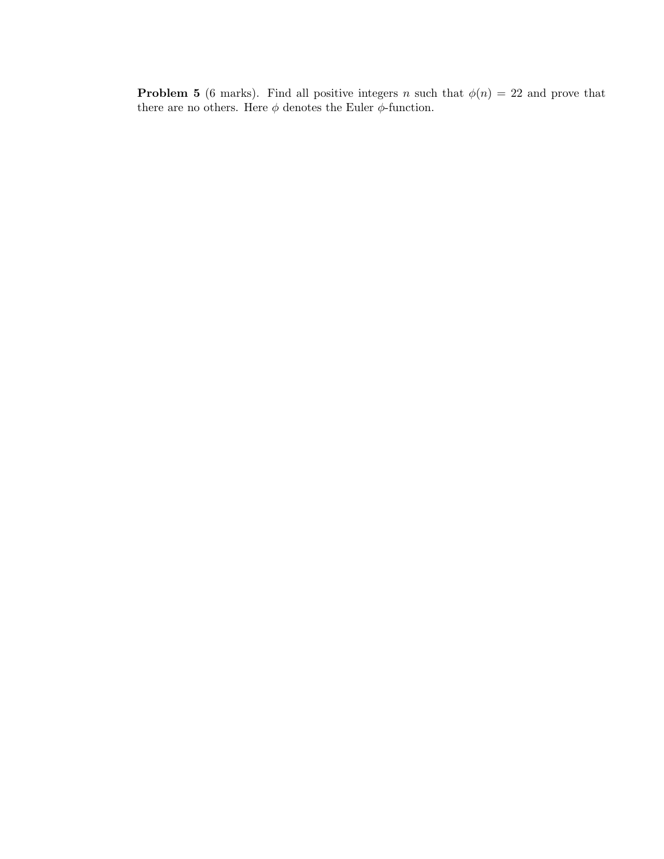**Problem 5** (6 marks). Find all positive integers n such that  $\phi(n) = 22$  and prove that there are no others. Here  $\phi$  denotes the Euler  $\phi\text{-function.}$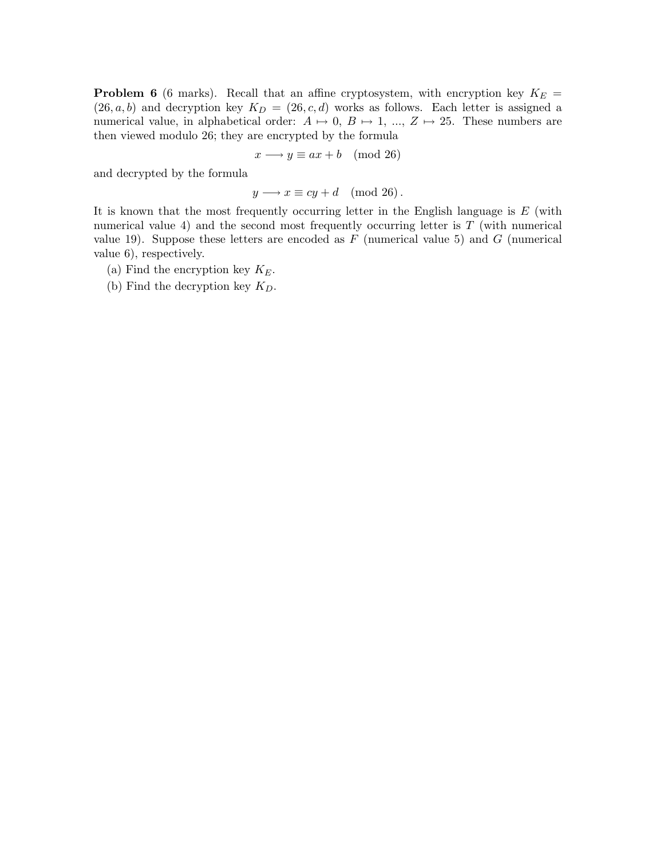**Problem 6** (6 marks). Recall that an affine cryptosystem, with encryption key  $K_E$  =  $(26, a, b)$  and decryption key  $K_D = (26, c, d)$  works as follows. Each letter is assigned a numerical value, in alphabetical order:  $A \mapsto 0$ ,  $B \mapsto 1$ , ...,  $Z \mapsto 25$ . These numbers are then viewed modulo 26; they are encrypted by the formula

$$
x \longrightarrow y \equiv ax + b \pmod{26}
$$

and decrypted by the formula

$$
y \longrightarrow x \equiv cy + d \pmod{26}.
$$

It is known that the most frequently occurring letter in the English language is  $E$  (with numerical value 4) and the second most frequently occurring letter is  $T$  (with numerical value 19). Suppose these letters are encoded as  $F$  (numerical value 5) and  $G$  (numerical value 6), respectively.

- (a) Find the encryption key  $K_E$ .
- (b) Find the decryption key  $K_D$ .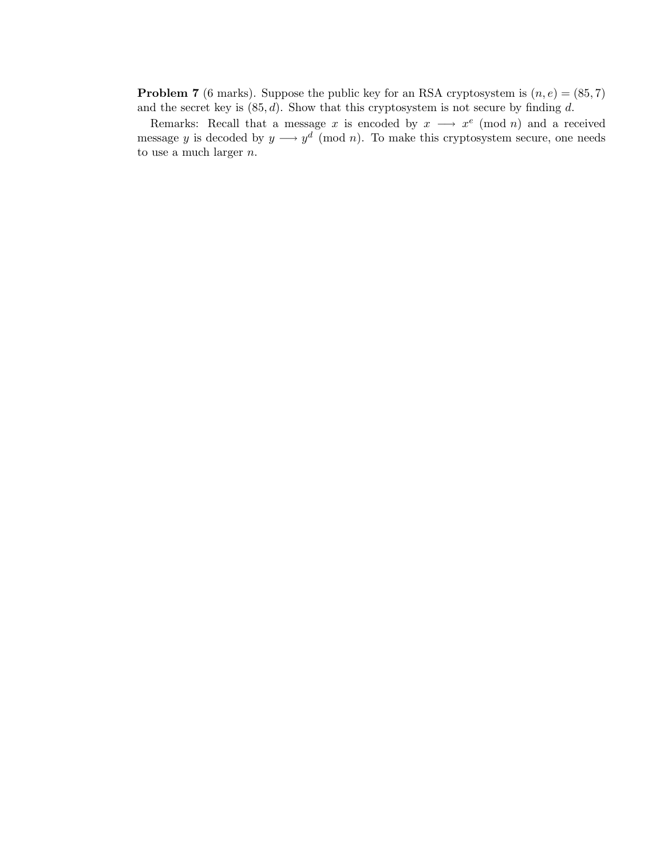**Problem 7** (6 marks). Suppose the public key for an RSA cryptosystem is  $(n, e) = (85, 7)$ and the secret key is  $(85, d)$ . Show that this cryptosystem is not secure by finding d.

Remarks: Recall that a message x is encoded by  $x \rightarrow x^e \pmod{n}$  and a received message y is decoded by  $y \longrightarrow y^d \pmod{n}$ . To make this cryptosystem secure, one needs to use a much larger  $n$ .